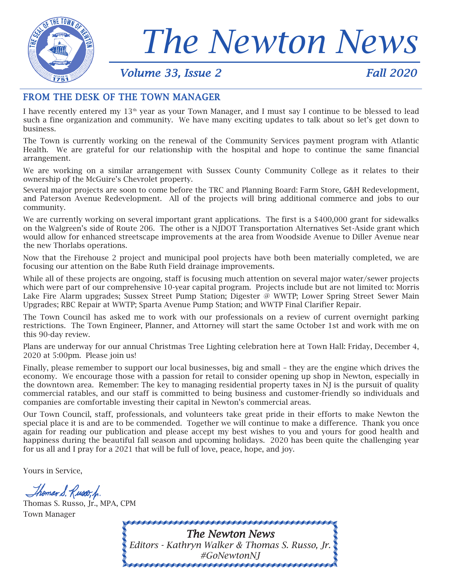

# *The Newton News*

#### *Volume 33, Issue 2 Fall 2020*

#### FROM THE DESK OF THE TOWN MANAGER

I have recently entered my 13<sup>th</sup> year as your Town Manager, and I must say I continue to be blessed to lead such a fine organization and community. We have many exciting updates to talk about so let's get down to business.

The Town is currently working on the renewal of the Community Services payment program with Atlantic Health. We are grateful for our relationship with the hospital and hope to continue the same financial arrangement.

We are working on a similar arrangement with Sussex County Community College as it relates to their ownership of the McGuire's Chevrolet property.

Several major projects are soon to come before the TRC and Planning Board: Farm Store, G&H Redevelopment, and Paterson Avenue Redevelopment. All of the projects will bring additional commerce and jobs to our community.

We are currently working on several important grant applications. The first is a \$400,000 grant for sidewalks on the Walgreen's side of Route 206. The other is a NJDOT Transportation Alternatives Set-Aside grant which would allow for enhanced streetscape improvements at the area from Woodside Avenue to Diller Avenue near the new Thorlabs operations.

Now that the Firehouse 2 project and municipal pool projects have both been materially completed, we are focusing our attention on the Babe Ruth Field drainage improvements.

While all of these projects are ongoing, staff is focusing much attention on several major water/sewer projects which were part of our comprehensive 10-year capital program. Projects include but are not limited to: Morris Lake Fire Alarm upgrades; Sussex Street Pump Station; Digester @ WWTP; Lower Spring Street Sewer Main Upgrades; RBC Repair at WWTP; Sparta Avenue Pump Station; and WWTP Final Clarifier Repair.

The Town Council has asked me to work with our professionals on a review of current overnight parking restrictions. The Town Engineer, Planner, and Attorney will start the same October 1st and work with me on this 90-day review.

Plans are underway for our annual Christmas Tree Lighting celebration here at Town Hall: Friday, December 4, 2020 at 5:00pm. Please join us!

Finally, please remember to support our local businesses, big and small – they are the engine which drives the economy. We encourage those with a passion for retail to consider opening up shop in Newton, especially in the downtown area. Remember: The key to managing residential property taxes in NJ is the pursuit of quality commercial ratables, and our staff is committed to being business and customer-friendly so individuals and companies are comfortable investing their capital in Newton's commercial areas.

Our Town Council, staff, professionals, and volunteers take great pride in their efforts to make Newton the special place it is and are to be commended. Together we will continue to make a difference. Thank you once again for reading our publication and please accept my best wishes to you and yours for good health and happiness during the beautiful fall season and upcoming holidays. 2020 has been quite the challenging year for us all and I pray for a 2021 that will be full of love, peace, hope, and joy.

Yours in Service,

Thomas S. Russo, p.

Thomas S. Russo, Jr., MPA, CPM Town Manager

> *The Newton News Editors - Kathryn Walker & Thomas S. Russo, Jr. #GoNewtonNJ*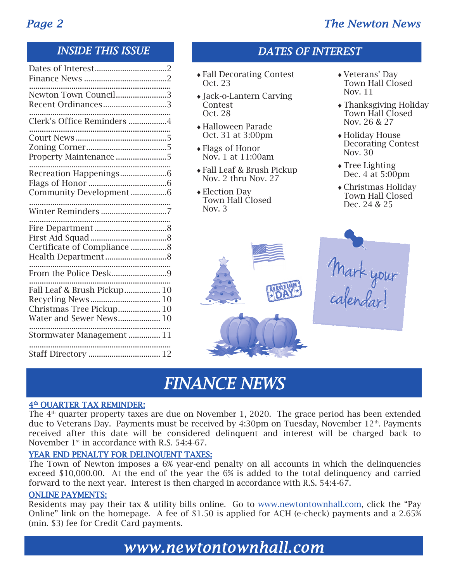### *Page 2 The Newton News*

### *INSIDE THIS ISSUE*

| Newton Town Council3<br>Recent Ordinances3                                         |  |
|------------------------------------------------------------------------------------|--|
| Clerk's Office Reminders 4                                                         |  |
| <br>Property Maintenance 5                                                         |  |
| Community Development6                                                             |  |
|                                                                                    |  |
| Certificate of Compliance 8                                                        |  |
| From the Police Desk9                                                              |  |
| Fall Leaf & Brush Pickup 10<br>Christmas Tree Pickup 10<br>Water and Sewer News 10 |  |
| Stormwater Management  11                                                          |  |
| Staff Directory  12                                                                |  |

#### Fall Decorating Contest Oct. 23

*DATES OF INTEREST* 

- Jack-o-Lantern Carving Contest Oct. 28
- Halloween Parade Oct. 31 at 3:00pm
- Flags of Honor Nov. 1 at 11:00am
- Fall Leaf & Brush Pickup Nov. 2 thru Nov. 27
- Election Day Town Hall Closed Nov. 3
- Veterans' Day Town Hall Closed Nov. 11
- Thanksgiving Holiday Town Hall Closed Nov. 26 & 27
- Holiday House Decorating Contest Nov. 30
- ◆ Tree Lighting Dec. 4 at 5:00pm
- Christmas Holiday Town Hall Closed Dec. 24 & 25

Mark your<br>calendar!

### *FINANCE NEWS*

#### $4^{\rm th}$  QUARTER TAX REMINDER:

The  $4<sup>th</sup>$  quarter property taxes are due on November 1, 2020. The grace period has been extended due to Veterans Day. Payments must be received by 4:30pm on Tuesday, November  $12<sup>th</sup>$ . Payments received after this date will be considered delinquent and interest will be charged back to November  $1<sup>st</sup>$  in accordance with R.S. 54:4-67.

#### YEAR END PENALTY FOR DELINQUENT TAXES:

The Town of Newton imposes a 6% year-end penalty on all accounts in which the delinquencies exceed \$10,000.00. At the end of the year the 6% is added to the total delinquency and carried forward to the next year. Interest is then charged in accordance with R.S. 54:4-67.

#### ONLINE PAYMENTS:

Residents may pay their tax & utility bills online. Go to [www.newtontownhall.com](http://www.newtontownhall.com), click the "Pay Online" link on the homepage. A fee of \$1.50 is applied for ACH (e-check) payments and a 2.65% (min. \$3) fee for Credit Card payments.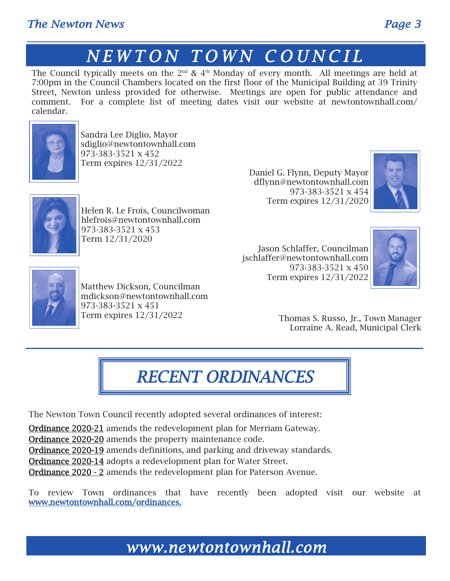### *The Newton News Page 3*

### $N$ *EWTON TOWN COUNCIL*

The Council typically meets on the  $2<sup>nd</sup>$  &  $4<sup>th</sup>$  Monday of every month. All meetings are held at 7:00pm in the Council Chambers located on the first floor of the Municipal Building at 39 Trinity Street, Newton unless provided for otherwise. Meetings are open for public attendance and comment. For a complete list of meeting dates visit our website at newtontownhall.com/ calendar.



Sandra Lee Diglio, Mayor sdiglio@newtontownhall.com 973-383-3521 x 452 Term expires 12/31/2022

Daniel G. Flynn, Deputy Mayor dflynn@newtontownhall.com 973-383-3521 x 454 Term expires 12/31/2020





Helen R. Le Frois, Councilwoman hlefrois@newtontownhall.com 973-383-3521 x 453 Term 12/31/2020

Jason Schlaffer, Councilman jschlaffer@newtontownhall.com 973-383-3521 x 450 Term expires 12/31/2022





Matthew Dickson, Councilman mdickson@newtontownhall.com 973-383-3521 x 451 Term expires 12/31/2022

Thomas S. Russo, Jr., Town Manager Lorraine A. Read, Municipal Clerk

### *RECENT ORDINANCES*

The Newton Town Council recently adopted several ordinances of interest:

Ordinance 2020-21 amends the redevelopment plan for Merriam Gateway.

**Ordinance 2020-20** amends the property maintenance code.

Ordinance 2020-19 amends definitions, and parking and driveway standards.

Ordinance 2020-14 adopts a redevelopment plan for Water Street.

Ordinance 2020 - 2 amends the redevelopment plan for Paterson Avenue.

To review Town ordinances that have recently been adopted visit our website at www.newtontownhall.com/ordinances.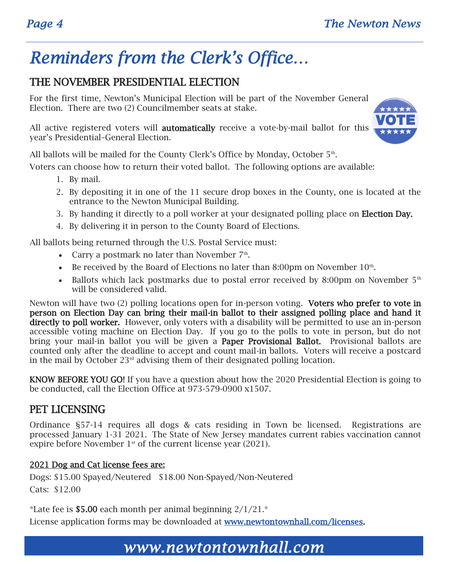### *Reminders from the Clerk's Office…*

### THE NOVEMBER PRESIDENTIAL ELECTION

For the first time, Newton's Municipal Election will be part of the November General Election. There are two (2) Councilmember seats at stake.



All active registered voters will **automatically** receive a vote-by-mail ballot for this year's Presidential–General Election.

All ballots will be mailed for the County Clerk's Office by Monday, October  $5<sup>th</sup>$ .

Voters can choose how to return their voted ballot. The following options are available:

- 1. By mail.
- 2. By depositing it in one of the 11 secure drop boxes in the County, one is located at the entrance to the Newton Municipal Building.
- 3. By handing it directly to a poll worker at your designated polling place on Election Day.
- 4. By delivering it in person to the County Board of Elections.

All ballots being returned through the U.S. Postal Service must:

- Carry a postmark no later than November  $7<sup>th</sup>$ .
- Exerceived by the Board of Elections no later than 8:00pm on November  $10<sup>th</sup>$ .
- Ballots which lack postmarks due to postal error received by 8:00pm on November  $5<sup>th</sup>$ will be considered valid.

Newton will have two (2) polling locations open for in-person voting. Voters who prefer to vote in person on Election Day can bring their mail-in ballot to their assigned polling place and hand it directly to poll worker. However, only voters with a disability will be permitted to use an in-person accessible voting machine on Election Day. If you go to the polls to vote in person, but do not bring your mail-in ballot you will be given a **Paper Provisional Ballot.** Provisional ballots are counted only after the deadline to accept and count mail-in ballots. Voters will receive a postcard in the mail by October  $23<sup>rd</sup>$  advising them of their designated polling location.

KNOW BEFORE YOU GO! If you have a question about how the 2020 Presidential Election is going to be conducted, call the Election Office at 973-579-0900 x1507.

#### PET LICENSING

Ordinance §57-14 requires all dogs & cats residing in Town be licensed. Registrations are processed January 1-31 2021. The State of New Jersey mandates current rabies vaccination cannot expire before November  $1<sup>st</sup>$  of the current license year (2021).

#### 2021 Dog and Cat license fees are:

Dogs: \$15.00 Spayed/Neutered \$18.00 Non-Spayed/Non-Neutered Cats: \$12.00

\*Late fee is \$5.00 each month per animal beginning  $2/1/21$ .\*

License application forms may be downloaded at www.newtontownhall.com/licenses.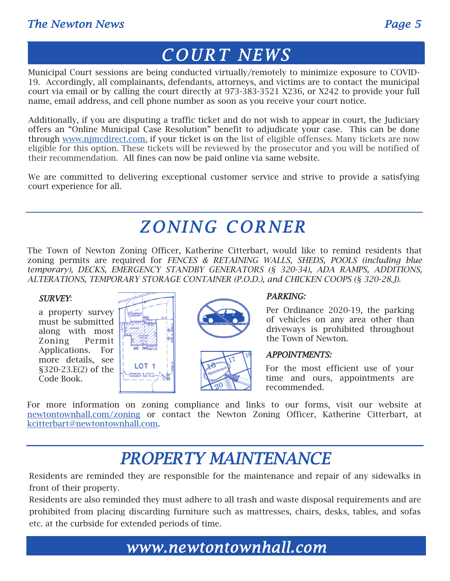### *COUR T NE WS*

Municipal Court sessions are being conducted virtually/remotely to minimize exposure to COVID-19. Accordingly, all complainants, defendants, attorneys, and victims are to contact the municipal court via email or by calling the court directly at 973-383-3521 X236, or X242 to provide your full name, email address, and cell phone number as soon as you receive your court notice.

Additionally, if you are disputing a traffic ticket and do not wish to appear in court, the Judiciary offers an "Online Municipal Case Resolution" benefit to adjudicate your case. This can be done through [www.njmcdirect.com,](http://www.njmcdirect.com) if your ticket is on the list of eligible offenses. Many tickets are now eligible for this option. These tickets will be reviewed by the prosecutor and you will be notified of their recommendation. All fines can now be paid online via same website.

We are committed to delivering exceptional customer service and strive to provide a satisfying court experience for all.

### **ZONING CORNER**

The Town of Newton Zoning Officer, Katherine Citterbart, would like to remind residents that zoning permits are required for *FENCES & RETAINING WALLS, SHEDS, POOLS (including blue temporary), DECKS, EMERGENCY STANDBY GENERATORS (§ 320-34), ADA RAMPS, ADDITIONS, ALTERATIONS, TEMPORARY STORAGE CONTAINER (P.O.D.), and CHICKEN COOPS (§ 320-28.J).*

#### *SURVEY*:

a property survey must be submitted along with most Zoning Permit Applications. For more details, see §320-23.E(2) of the Code Book.







#### *PARKING:*

Per Ordinance 2020-19, the parking of vehicles on any area other than driveways is prohibited throughout the Town of Newton.

#### *APPOINTMENTS:*

For the most efficient use of your time and ours, appointments are recommended.

For more information on zoning compliance and links to our forms, visit our website at [newtontownhall.com/zoning](http://newtontownhall.com/170/Zoning-Officer) or contact the Newton Zoning Officer, Katherine Citterbart, at [kcitterbart@newtontownhall.com.](mailto:kcitterbart@newtontownhall.com) 

### *PROPERTY MAINTENANCE*

Residents are reminded they are responsible for the maintenance and repair of any sidewalks in front of their property.

Residents are also reminded they must adhere to all trash and waste disposal requirements and are prohibited from placing discarding furniture such as mattresses, chairs, desks, tables, and sofas etc. at the curbside for extended periods of time.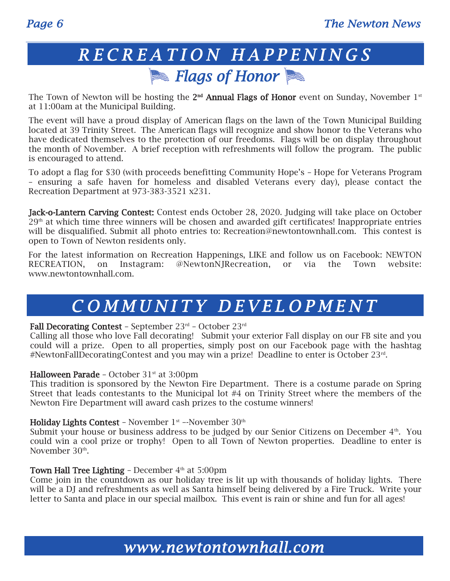### *R E C R E A T I O N H A P P E N I N G S Flags of Honor*

The Town of Newton will be hosting the 2<sup>nd</sup> Annual Flags of Honor event on Sunday, November 1<sup>st</sup> at 11:00am at the Municipal Building.

The event will have a proud display of American flags on the lawn of the Town Municipal Building located at 39 Trinity Street. The American flags will recognize and show honor to the Veterans who have dedicated themselves to the protection of our freedoms. Flags will be on display throughout the month of November. A brief reception with refreshments will follow the program. The public is encouraged to attend.

To adopt a flag for \$30 (with proceeds benefitting Community Hope's – Hope for Veterans Program – ensuring a safe haven for homeless and disabled Veterans every day), please contact the Recreation Department at 973-383-3521 x231.

Jack-o-Lantern Carving Contest: Contest ends October 28, 2020. Judging will take place on October 29<sup>th</sup> at which time three winners will be chosen and awarded gift certificates! Inappropriate entries will be disqualified. Submit all photo entries to: Recreation@newtontownhall.com. This contest is open to Town of Newton residents only.

For the latest information on Recreation Happenings, LIKE and follow us on Facebook: NEWTON RECREATION, on Instagram: @NewtonNJRecreation, or via the Town website: www.newtontownhall.com.

### *C O M M U N I T Y D E V E L O P M E N T*

#### Fall Decorating Contest – September 23rd – October 23rd

Calling all those who love Fall decorating! Submit your exterior Fall display on our FB site and you could will a prize. Open to all properties, simply post on our Facebook page with the hashtag #NewtonFallDecoratingContest and you may win a prize! Deadline to enter is October 23rd .

#### Halloween Parade – October  $31<sup>st</sup>$  at  $3:00<sup>pm</sup>$

This tradition is sponsored by the Newton Fire Department. There is a costume parade on Spring Street that leads contestants to the Municipal lot #4 on Trinity Street where the members of the Newton Fire Department will award cash prizes to the costume winners!

#### Holiday Lights Contest - November  $1<sup>st</sup>$  --November  $30<sup>th</sup>$

Submit your house or business address to be judged by our Senior Citizens on December 4<sup>th</sup>. You could win a cool prize or trophy! Open to all Town of Newton properties. Deadline to enter is November 30<sup>th</sup>.

#### Town Hall Tree Lighting - December  $4<sup>th</sup>$  at 5:00pm

Come join in the countdown as our holiday tree is lit up with thousands of holiday lights. There will be a DJ and refreshments as well as Santa himself being delivered by a Fire Truck. Write your letter to Santa and place in our special mailbox. This event is rain or shine and fun for all ages!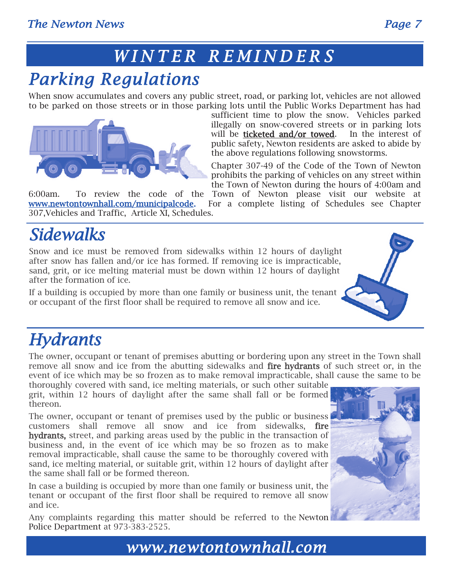### *W I N T E R R E M I N D E R S*

## *Parking Regulations*

When snow accumulates and covers any public street, road, or parking lot, vehicles are not allowed to be parked on those streets or in those parking lots until the Public Works Department has had



sufficient time to plow the snow. Vehicles parked illegally on snow-covered streets or in parking lots will be **ticketed and/or towed**. In the interest of public safety, Newton residents are asked to abide by the above regulations following snowstorms.

Chapter 307-49 of the Code of the Town of Newton prohibits the parking of vehicles on any street within the Town of Newton during the hours of 4:00am and

6:00am. To review the code of the Town of Newton please visit our website at www.newtontownhall.com/municipalcode. For a complete listing of Schedules see Chapter 307,Vehicles and Traffic, Article XI, Schedules.

## *Sidewalks*

Snow and ice must be removed from sidewalks within 12 hours of daylight after snow has fallen and/or ice has formed. If removing ice is impracticable, sand, grit, or ice melting material must be down within 12 hours of daylight after the formation of ice.

If a building is occupied by more than one family or business unit, the tenant or occupant of the first floor shall be required to remove all snow and ice.

## *Hydrants*

The owner, occupant or tenant of premises abutting or bordering upon any street in the Town shall remove all snow and ice from the abutting sidewalks and **fire hydrants** of such street or, in the event of ice which may be so frozen as to make removal impracticable, shall cause the same to be

thoroughly covered with sand, ice melting materials, or such other suitable grit, within 12 hours of daylight after the same shall fall or be formed thereon.

The owner, occupant or tenant of premises used by the public or business customers shall remove all snow and ice from sidewalks, fire hydrants, street, and parking areas used by the public in the transaction of business and, in the event of ice which may be so frozen as to make removal impracticable, shall cause the same to be thoroughly covered with sand, ice melting material, or suitable grit, within 12 hours of daylight after the same shall fall or be formed thereon.

In case a building is occupied by more than one family or business unit, the tenant or occupant of the first floor shall be required to remove all snow and ice.

Any complaints regarding this matter should be referred to the Newton Police Department at 973-383-2525.

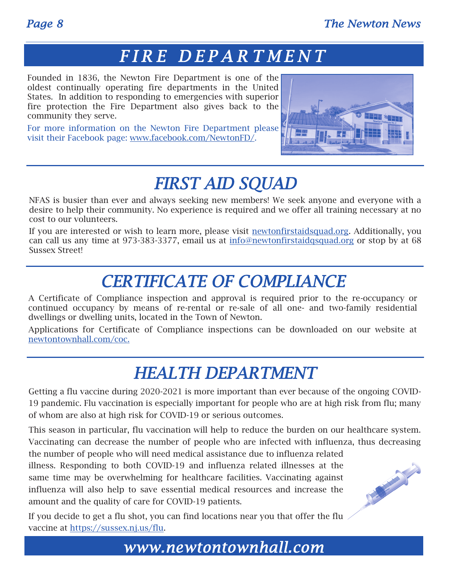THE MANUSCRIPT

### *F I R E D E P A R T M E N T*

Founded in 1836, the Newton Fire Department is one of the oldest continually operating fire departments in the United States. In addition to responding to emergencies with superior fire protection the Fire Department also gives back to the community they serve.

For more information on the Newton Fire Department please visit their Facebook page: [www.facebook.com/NewtonFD/.](https://www.facebook.com/NewtonFD/)



### *FIRST AID SQUAD*

NFAS is busier than ever and always seeking new members! We seek anyone and everyone with a desire to help their community. No experience is required and we offer all training necessary at no cost to our volunteers.

If you are interested or wish to learn more, please visit [newtonfirstaidsquad.org.](http://newtonfirstaidsquad.org) Additionally, you can call us any time at 973-383-3377, email us at [info@newtonfirstaidqsquad.org](mailto:info@newtonfirstaidqsquad.org) or stop by at 68 Sussex Street!

### *CERTIFICATE OF COMPLIANCE*

A Certificate of Compliance inspection and approval is required prior to the re-occupancy or continued occupancy by means of re-rental or re-sale of all one- and two-family residential dwellings or dwelling units, located in the Town of Newton.

Applications for Certificate of Compliance inspections can be downloaded on our website at [newtontownhall.com/coc.](https://www.newtontownhall.com/DocumentCenter/View/140/Residential-Certificate-of-Compliance-Application?bidId=)

### *HEALTH DEPARTMENT*

Getting a flu vaccine during 2020-2021 is more important than ever because of the ongoing COVID-19 pandemic. Flu vaccination is especially important for people who are at high risk from flu; many of whom are also at high risk for COVID-19 or serious outcomes.

This season in particular, flu vaccination will help to reduce the burden on our healthcare system. Vaccinating can decrease the number of people who are infected with influenza, thus decreasing the number of people who will need medical assistance due to influenza related

illness. Responding to both COVID-19 and influenza related illnesses at the same time may be overwhelming for healthcare facilities. Vaccinating against influenza will also help to save essential medical resources and increase the amount and the quality of care for COVID-19 patients.

If you decide to get a flu shot, you can find locations near you that offer the flu vaccine at [https://sussex.nj.us/flu.](https://sussex.nj.us/flu)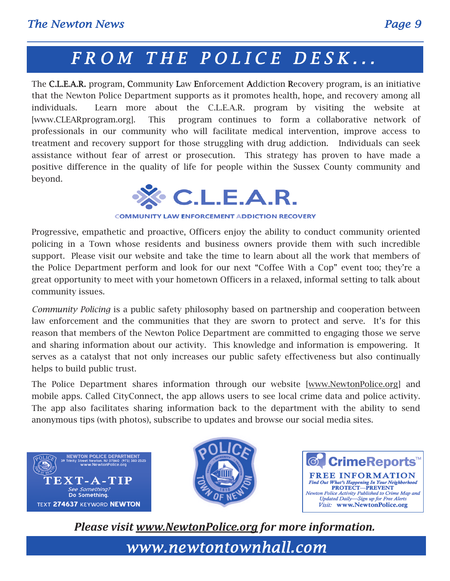### *F R O M T H E P O L I C E D E S K . . .*

The C.L.E.A.R. program, Community Law Enforcement Addiction Recovery program, is an initiative that the Newton Police Department supports as it promotes health, hope, and recovery among all individuals. Learn more about the C.L.E.A.R. program by visiting the website at [www.CLEARprogram.org]. This program continues to form a collaborative network of professionals in our community who will facilitate medical intervention, improve access to treatment and recovery support for those struggling with drug addiction. Individuals can seek assistance without fear of arrest or prosecution. This strategy has proven to have made a positive difference in the quality of life for people within the Sussex County community and beyond.



**COMMUNITY LAW ENFORCEMENT ADDICTION RECOVERY** 

Progressive, empathetic and proactive, Officers enjoy the ability to conduct community oriented policing in a Town whose residents and business owners provide them with such incredible support. Please visit our website and take the time to learn about all the work that members of the Police Department perform and look for our next "Coffee With a Cop" event too; they're a great opportunity to meet with your hometown Officers in a relaxed, informal setting to talk about community issues.

*Community Policing* is a public safety philosophy based on partnership and cooperation between law enforcement and the communities that they are sworn to protect and serve. It's for this reason that members of the Newton Police Department are committed to engaging those we serve and sharing information about our activity. This knowledge and information is empowering. It serves as a catalyst that not only increases our public safety effectiveness but also continually helps to build public trust.

The Police Department shares information through our website [[www.NewtonPolice.org\]](file:///C:/Users/commdev/AppData/Local/Microsoft/Windows/INetCache/Content.Outlook/SA4PKN6V/www.NewtonPolice.org) and mobile apps. Called CityConnect, the app allows users to see local crime data and police activity. The app also facilitates sharing information back to the department with the ability to send anonymous tips (with photos), subscribe to updates and browse our social media sites.







*Please visit [www.NewtonPolice.org](http://www.NewtonPolice.org) for more information.*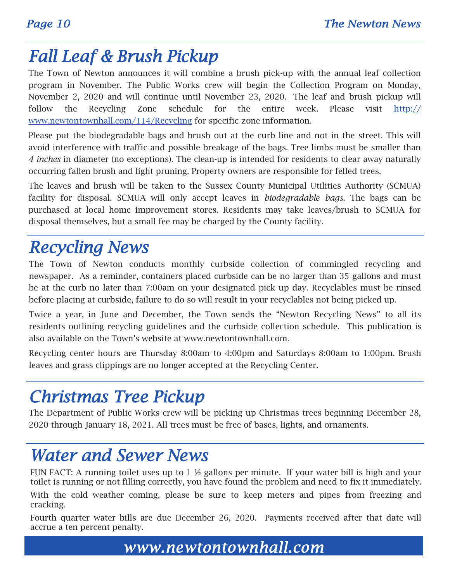### *Fall Leaf & Brush Pickup*

The Town of Newton announces it will combine a brush pick-up with the annual leaf collection program in November. The Public Works crew will begin the Collection Program on Monday, November 2, 2020 and will continue until November 23, 2020. The leaf and brush pickup will follow the Recycling Zone schedule for the entire week. Please visit [http://](http://www.newtontownhall.com/114/Recycling) [www.newtontownhall.com/114/Recycling](http://www.newtontownhall.com/114/Recycling) for specific zone information.

Please put the biodegradable bags and brush out at the curb line and not in the street. This will avoid interference with traffic and possible breakage of the bags. Tree limbs must be smaller than *4 inches* in diameter (no exceptions). The clean-up is intended for residents to clear away naturally occurring fallen brush and light pruning. Property owners are responsible for felled trees.

The leaves and brush will be taken to the Sussex County Municipal Utilities Authority (SCMUA) facility for disposal. SCMUA will only accept leaves in *biodegradable bags*. The bags can be purchased at local home improvement stores. Residents may take leaves/brush to SCMUA for disposal themselves, but a small fee may be charged by the County facility.

### *Recycling News*

The Town of Newton conducts monthly curbside collection of commingled recycling and newspaper. As a reminder, containers placed curbside can be no larger than 35 gallons and must be at the curb no later than 7:00am on your designated pick up day. Recyclables must be rinsed before placing at curbside, failure to do so will result in your recyclables not being picked up.

Twice a year, in June and December, the Town sends the "Newton Recycling News" to all its residents outlining recycling guidelines and the curbside collection schedule. This publication is also available on the Town's website at www.newtontownhall.com.

Recycling center hours are Thursday 8:00am to 4:00pm and Saturdays 8:00am to 1:00pm. Brush leaves and grass clippings are no longer accepted at the Recycling Center.

### *Christmas Tree Pickup*

The Department of Public Works crew will be picking up Christmas trees beginning December 28, 2020 through January 18, 2021. All trees must be free of bases, lights, and ornaments.

### *Water and Sewer News*

FUN FACT: A running toilet uses up to 1 ½ gallons per minute. If your water bill is high and your toilet is running or not filling correctly, you have found the problem and need to fix it immediately.

With the cold weather coming, please be sure to keep meters and pipes from freezing and cracking.

Fourth quarter water bills are due December 26, 2020. Payments received after that date will accrue a ten percent penalty.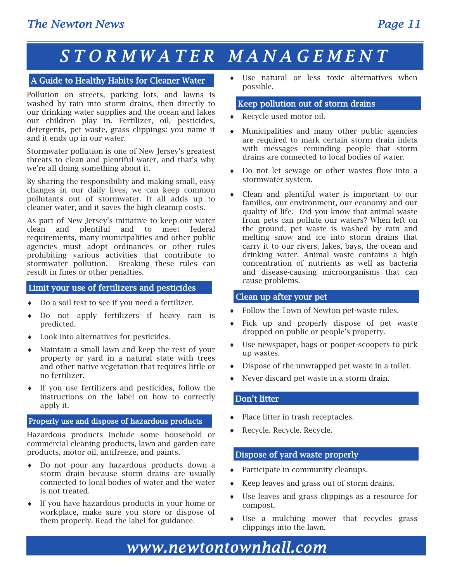## *S T O R M W A T E R M A N A G E M E N T*

#### A Guide to Healthy Habits for Cleaner Water

Pollution on streets, parking lots, and lawns is washed by rain into storm drains, then directly to our drinking water supplies and the ocean and lakes our children play in. Fertilizer, oil, pesticides, detergents, pet waste, grass clippings: you name it and it ends up in our water.

Stormwater pollution is one of New Jersey's greatest threats to clean and plentiful water, and that's why we're all doing something about it.

By sharing the responsibility and making small, easy changes in our daily lives, we can keep common pollutants out of stormwater. It all adds up to cleaner water, and it saves the high cleanup costs.

As part of New Jersey's initiative to keep our water clean and plentiful and to meet federal requirements, many municipalities and other public agencies must adopt ordinances or other rules prohibiting various activities that contribute to stormwater pollution. Breaking these rules can result in fines or other penalties.

#### Limit your use of fertilizers and pesticides

- Do a soil test to see if you need a fertilizer.
- Do not apply fertilizers if heavy rain is predicted.
- Look into alternatives for pesticides.
- Maintain a small lawn and keep the rest of your property or yard in a natural state with trees and other native vegetation that requires little or no fertilizer.
- If you use fertilizers and pesticides, follow the instructions on the label on how to correctly apply it.

#### Properly use and dispose of hazardous products

Hazardous products include some household or commercial cleaning products, lawn and garden care products, motor oil, antifreeze, and paints.

- Do not pour any hazardous products down a storm drain because storm drains are usually connected to local bodies of water and the water is not treated.
- If you have hazardous products in your home or workplace, make sure you store or dispose of them properly. Read the label for guidance.

 Use natural or less toxic alternatives when possible.

#### Keep pollution out of storm drains

- Recycle used motor oil.
- Municipalities and many other public agencies are required to mark certain storm drain inlets with messages reminding people that storm drains are connected to local bodies of water.
- Do not let sewage or other wastes flow into a stormwater system.
- Clean and plentiful water is important to our families, our environment, our economy and our quality of life. Did you know that animal waste from pets can pollute our waters? When left on the ground, pet waste is washed by rain and melting snow and ice into storm drains that carry it to our rivers, lakes, bays, the ocean and drinking water. Animal waste contains a high concentration of nutrients as well as bacteria and disease-causing microorganisms that can cause problems.

#### Clean up after your pet

- Follow the Town of Newton pet-waste rules.
- Pick up and properly dispose of pet waste dropped on public or people's property.
- Use newspaper, bags or pooper-scoopers to pick up wastes.
- Dispose of the unwrapped pet waste in a toilet.
- Never discard pet waste in a storm drain.

#### Don't litter

- Place litter in trash receptacles.
- Recycle. Recycle. Recycle.

#### Dispose of yard waste properly

- Participate in community cleanups.
- Keep leaves and grass out of storm drains.
- Use leaves and grass clippings as a resource for compost.
- Use a mulching mower that recycles grass clippings into the lawn.